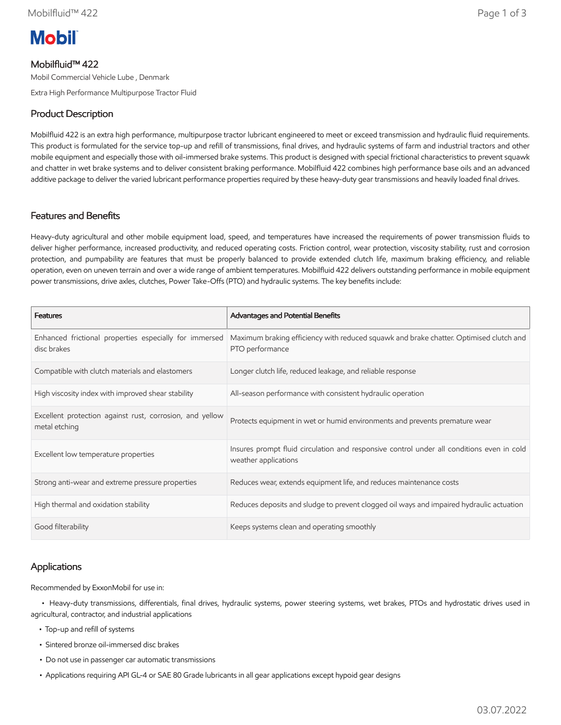# **Mobil**

# Mobilfluid™ 422

Mobil Commercial Vehicle Lube , Denmark

Extra High Performance Multipurpose Tractor Fluid

# Product Description

Mobilfluid 422 is an extra high performance, multipurpose tractor lubricant engineered to meet or exceed transmission and hydraulic fluid requirements. This product is formulated for the service top-up and refill of transmissions, final drives, and hydraulic systems of farm and industrial tractors and other mobile equipment and especially those with oil-immersed brake systems. This product is designed with special frictional characteristics to prevent squawk and chatter in wet brake systems and to deliver consistent braking performance. Mobilfluid 422 combines high performance base oils and an advanced additive package to deliver the varied lubricant performance properties required by these heavy-duty gear transmissions and heavily loaded final drives.

#### Features and Benefits

Heavy-duty agricultural and other mobile equipment load, speed, and temperatures have increased the requirements of power transmission fluids to deliver higher performance, increased productivity, and reduced operating costs. Friction control, wear protection, viscosity stability, rust and corrosion protection, and pumpability are features that must be properly balanced to provide extended clutch life, maximum braking efficiency, and reliable operation, even on uneven terrain and over a wide range of ambient temperatures. Mobilfluid 422 delivers outstanding performance in mobile equipment power transmissions, drive axles, clutches, Power Take-Offs (PTO) and hydraulic systems. The key benefits include:

| <b>Features</b>                                                           | <b>Advantages and Potential Benefits</b>                                                                          |
|---------------------------------------------------------------------------|-------------------------------------------------------------------------------------------------------------------|
| Enhanced frictional properties especially for immersed<br>disc brakes     | Maximum braking efficiency with reduced squawk and brake chatter. Optimised clutch and<br>PTO performance         |
| Compatible with clutch materials and elastomers                           | Longer clutch life, reduced leakage, and reliable response                                                        |
| High viscosity index with improved shear stability                        | All-season performance with consistent hydraulic operation                                                        |
| Excellent protection against rust, corrosion, and yellow<br>metal etching | Protects equipment in wet or humid environments and prevents premature wear                                       |
| Excellent low temperature properties                                      | Insures prompt fluid circulation and responsive control under all conditions even in cold<br>weather applications |
| Strong anti-wear and extreme pressure properties                          | Reduces wear, extends equipment life, and reduces maintenance costs                                               |
| High thermal and oxidation stability                                      | Reduces deposits and sludge to prevent clogged oil ways and impaired hydraulic actuation                          |
| Good filterability                                                        | Keeps systems clean and operating smoothly                                                                        |

## Applications

Recommended by ExxonMobil for use in:

 • Heavy-duty transmissions, differentials, final drives, hydraulic systems, power steering systems, wet brakes, PTOs and hydrostatic drives used in agricultural, contractor, and industrial applications

- Top-up and refill of systems
- Sintered bronze oil-immersed disc brakes
- Do not use in passenger car automatic transmissions
- Applications requiring API GL-4 or SAE 80 Grade lubricants in all gear applications except hypoid gear designs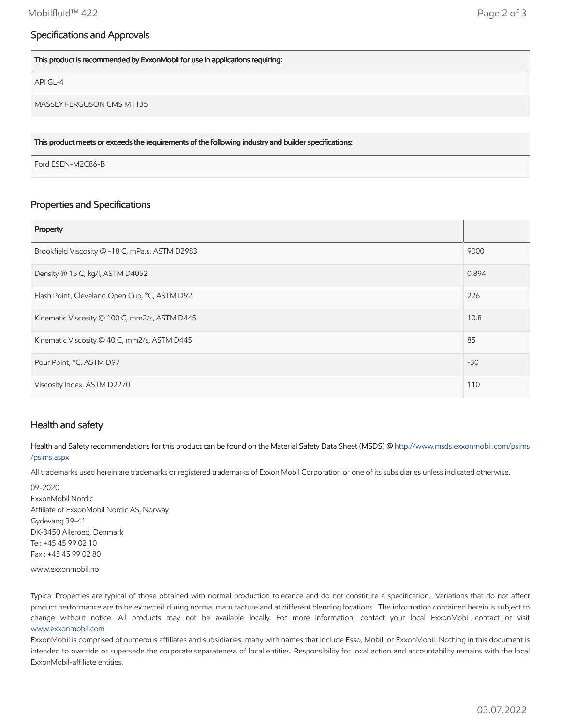## Specifications and Approvals

This product is recommended by ExxonMobil for use in applications requiring:

API GL-4

MASSEY FERGUSON CMS M1135

This product meets or exceeds the requirements of the following industry and builder specifications:

Ford ESEN-M2C86-B

## Properties and Specifications

| Property                                        |       |
|-------------------------------------------------|-------|
| Brookfield Viscosity @ -18 C, mPa.s, ASTM D2983 | 9000  |
| Density @ 15 C, kg/l, ASTM D4052                | 0.894 |
| Flash Point, Cleveland Open Cup, °C, ASTM D92   | 226   |
| Kinematic Viscosity @ 100 C, mm2/s, ASTM D445   | 10.8  |
| Kinematic Viscosity @ 40 C, mm2/s, ASTM D445    | 85    |
| Pour Point, °C, ASTM D97                        | $-30$ |
| Viscosity Index, ASTM D2270                     | 110   |

#### Health and safety

Health and Safety recommendations for this product can be found on the Material Safety Data Sheet (MSDS) @ [http://www.msds.exxonmobil.com/psims](http://www.msds.exxonmobil.com/psims/psims.aspx) /psims.aspx

All trademarks used herein are trademarks or registered trademarks of Exxon Mobil Corporation or one of its subsidiaries unless indicated otherwise.

09-2020 ExxonMobil Nordic Affiliate of ExxonMobil Nordic AS, Norway Gydevang 39-41 DK-3450 Alleroed, Denmark Tel: +45 45 99 02 10 Fax : +45 45 99 02 80

www.exxonmobil.no

Typical Properties are typical of those obtained with normal production tolerance and do not constitute a specification. Variations that do not affect product performance are to be expected during normal manufacture and at different blending locations. The information contained herein is subject to change without notice. All products may not be available locally. For more information, contact your local ExxonMobil contact or visit [www.exxonmobil.com](http://www.exxonmobil.com/)

ExxonMobil is comprised of numerous affiliates and subsidiaries, many with names that include Esso, Mobil, or ExxonMobil. Nothing in this document is intended to override or supersede the corporate separateness of local entities. Responsibility for local action and accountability remains with the local ExxonMobil-affiliate entities.